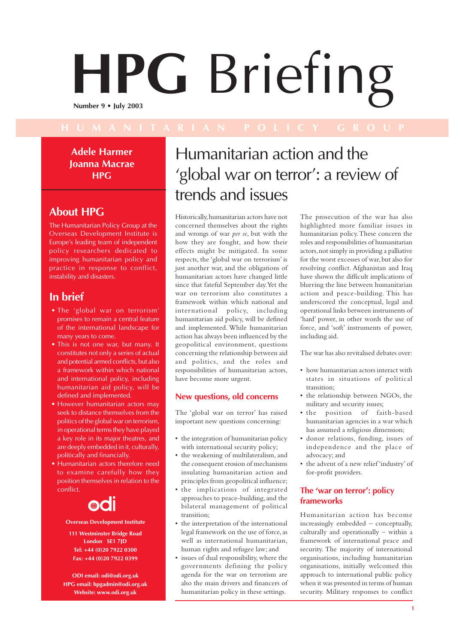# **HPG** Briefing **Number 9 • July 2003**

**Adele Harmer Joanna Macrae HPG**

## **About HPG**

The Humanitarian Policy Group at the Overseas Development Institute is Europe's leading team of independent policy researchers dedicated to improving humanitarian policy and practice in response to conflict, instability and disasters.

## **In brief**

- The 'global war on terrorism' promises to remain a central feature of the international landscape for many years to come.
- This is not one war, but many. It constitutes not only a series of actual and potential armed conflicts, but also a framework within which national and international policy, including humanitarian aid policy, will be defined and implemented.
- However humanitarian actors may seek to distance themselves from the politics of the global war on terrorism, in operational terms they have played a key role in its major theatres, and are deeply embedded in it, culturally, politically and financially.
- Humanitarian actors therefore need to examine carefully how they position themselves in relation to the conflict.



#### **Overseas Development Institute**

**111 Westminster Bridge Road London SE1 7JD Tel: +44 (0)20 7922 0300 Fax: +44 (0)20 7922 0399**

**ODI email: odi@odi.org.uk HPG email: hpgadmin@odi.org.uk Website: www.odi.org.uk**

# Humanitarian action and the 'global war on terror': a review of trends and issues

Historically, humanitarian actors have not concerned themselves about the rights and wrongs of war *per se*, but with the how they are fought, and how their effects might be mitigated. In some respects, the 'global war on terrorism' is just another war, and the obligations of humanitarian actors have changed little since that fateful September day. Yet the war on terrorism also constitutes a framework within which national and international policy, including humanitarian aid policy, will be defined and implemented. While humanitarian action has always been influenced by the geopolitical environment, questions concerning the relationship between aid and politics, and the roles and responsibilities of humanitarian actors, have become more urgent.

#### **New questions, old concerns**

The 'global war on terror' has raised important new questions concerning:

- the integration of humanitarian policy with international security policy;
- the weakening of multilateralism, and the consequent erosion of mechanisms insulating humanitarian action and principles from geopolitical influence;
- the implications of integrated approaches to peace-building, and the bilateral management of political transition;
- the interpretation of the international legal framework on the use of force, as well as international humanitarian, human rights and refugee law; and
- issues of dual responsibility, where the governments defining the policy agenda for the war on terrorism are also the main drivers and financers of humanitarian policy in these settings.

The prosecution of the war has also highlighted more familiar issues in humanitarian policy. These concern the roles and responsibilities of humanitarian actors, not simply in providing a palliative for the worst excesses of war, but also for resolving conflict. Afghanistan and Iraq have shown the difficult implications of blurring the line between humanitarian action and peace-building. This has underscored the conceptual, legal and operational links between instruments of 'hard' power, in other words the use of force, and 'soft' instruments of power, including aid.

The war has also revitalised debates over:

- how humanitarian actors interact with states in situations of political transition;
- the relationship between NGOs, the military and security issues;
- the position of faith-based humanitarian agencies in a war which has assumed a religious dimension;
- donor relations, funding, issues of independence and the place of advocacy; and
- the advent of a new relief 'industry' of for-profit providers.

#### **The 'war on terror': policy frameworks**

Humanitarian action has become increasingly embedded – conceptually, culturally and operationally – within a framework of international peace and security. The majority of international organisations, including humanitarian organisations, initially welcomed this approach to international public policy when it was presented in terms of human security. Military responses to conflict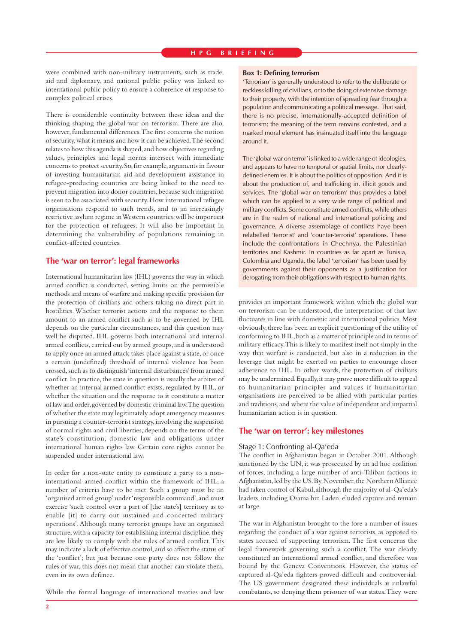were combined with non-military instruments, such as trade, aid and diplomacy, and national public policy was linked to international public policy to ensure a coherence of response to complex political crises.

There is considerable continuity between these ideas and the thinking shaping the global war on terrorism. There are also, however, fundamental differences. The first concerns the notion of security, what it means and how it can be achieved. The second relates to how this agenda is shaped, and how objectives regarding values, principles and legal norms intersect with immediate concerns to protect security. So, for example, arguments in favour of investing humanitarian aid and development assistance in refugee-producing countries are being linked to the need to prevent migration into donor countries, because such migration is seen to be associated with security. How international refugee organisations respond to such trends, and to an increasingly restrictive asylum regime in Western countries, will be important for the protection of refugees. It will also be important in determining the vulnerability of populations remaining in conflict-affected countries.

#### **The 'war on terror': legal frameworks**

International humanitarian law (IHL) governs the way in which armed conflict is conducted, setting limits on the permissible methods and means of warfare and making specific provision for the protection of civilians and others taking no direct part in hostilities. Whether terrorist actions and the response to them amount to an armed conflict such as to be governed by IHL depends on the particular circumstances, and this question may well be disputed. IHL governs both international and internal armed conflicts, carried out by armed groups, and is understood to apply once an armed attack takes place against a state, or once a certain (undefined) threshold of internal violence has been crossed, such as to distinguish 'internal disturbances' from armed conflict. In practice, the state in question is usually the arbiter of whether an internal armed conflict exists, regulated by IHL, or whether the situation and the response to it constitute a matter of law and order, governed by domestic criminal law. The question of whether the state may legitimately adopt emergency measures in pursuing a counter-terrorist strategy, involving the suspension of normal rights and civil liberties, depends on the terms of the state's constitution, domestic law and obligations under international human rights law. Certain core rights cannot be suspended under international law.

In order for a non-state entity to constitute a party to a noninternational armed conflict within the framework of IHL, a number of criteria have to be met. Such a group must be an 'organised armed group' under 'responsible command', and must exercise 'such control over a part of [the state's] territory as to enable [it] to carry out sustained and concerted military operations'. Although many terrorist groups have an organised structure, with a capacity for establishing internal discipline, they are less likely to comply with the rules of armed conflict. This may indicate a lack of effective control, and so affect the status of the 'conflict'; but just because one party does not follow the rules of war, this does not mean that another can violate them, even in its own defence.

While the formal language of international treaties and law

#### **Box 1: Defining terrorism**

'Terrorism' is generally understood to refer to the deliberate or reckless killing of civilians, or to the doing of extensive damage to their property, with the intention of spreading fear through a population and communicating a political message. That said, there is no precise, internationally-accepted definition of terrorism; the meaning of the term remains contested, and a marked moral element has insinuated itself into the language around it.

The 'global war on terror' is linked to a wide range of ideologies, and appears to have no temporal or spatial limits, nor clearlydefined enemies. It is about the politics of opposition. And it is about the production of, and trafficking in, illicit goods and services. The 'global war on terrorism' thus provides a label which can be applied to a very wide range of political and military conflicts. Some constitute armed conflicts, while others are in the realm of national and international policing and governance. A diverse assemblage of conflicts have been relabelled 'terrorist' and 'counter-terrorist' operations. These include the confrontations in Chechnya, the Palestinian territories and Kashmir. In countries as far apart as Tunisia, Colombia and Uganda, the label 'terrorism' has been used by governments against their opponents as a justification for derogating from their obligations with respect to human rights.

provides an important framework within which the global war on terrorism can be understood, the interpretation of that law fluctuates in line with domestic and international politics. Most obviously, there has been an explicit questioning of the utility of conforming to IHL, both as a matter of principle and in terms of military efficacy. This is likely to manifest itself not simply in the way that warfare is conducted, but also in a reduction in the leverage that might be exerted on parties to encourage closer adherence to IHL. In other words, the protection of civilians may be undermined. Equally, it may prove more difficult to appeal to humanitarian principles and values if humanitarian organisations are perceived to be allied with particular parties and traditions, and where the value of independent and impartial humanitarian action is in question.

#### **The 'war on terror': key milestones**

#### Stage 1: Confronting al-Qa'eda

The conflict in Afghanistan began in October 2001. Although sanctioned by the UN, it was prosecuted by an ad hoc coalition of forces, including a large number of anti-Taliban factions in Afghanistan, led by the US. By November, the Northern Alliance had taken control of Kabul, although the majority of al-Qa'eda's leaders, including Osama bin Laden, eluded capture and remain at large.

The war in Afghanistan brought to the fore a number of issues regarding the conduct of a war against terrorists, as opposed to states accused of supporting terrorism. The first concerns the legal framework governing such a conflict. The war clearly constituted an international armed conflict, and therefore was bound by the Geneva Conventions. However, the status of captured al-Qa'eda fighters proved difficult and controversial. The US government designated these individuals as unlawful combatants, so denying them prisoner of war status. They were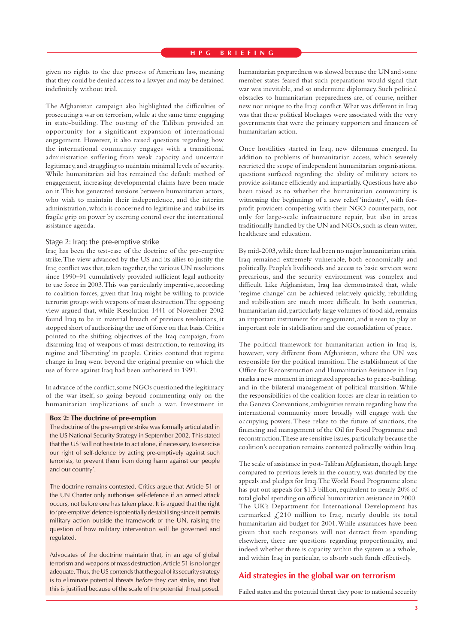given no rights to the due process of American law, meaning that they could be denied access to a lawyer and may be detained indefinitely without trial.

The Afghanistan campaign also highlighted the difficulties of prosecuting a war on terrorism, while at the same time engaging in state-building. The ousting of the Taliban provided an opportunity for a significant expansion of international engagement. However, it also raised questions regarding how the international community engages with a transitional administration suffering from weak capacity and uncertain legitimacy, and struggling to maintain minimal levels of security. While humanitarian aid has remained the default method of engagement, increasing developmental claims have been made on it. This has generated tensions between humanitarian actors, who wish to maintain their independence, and the interim administration, which is concerned to legitimise and stabilise its fragile grip on power by exerting control over the international assistance agenda.

#### Stage 2: Iraq: the pre-emptive strike

Iraq has been the test-case of the doctrine of the pre-emptive strike. The view advanced by the US and its allies to justify the Iraq conflict was that, taken together, the various UN resolutions since 1990–91 cumulatively provided sufficient legal authority to use force in 2003. This was particularly imperative, according to coalition forces, given that Iraq might be willing to provide terrorist groups with weapons of mass destruction. The opposing view argued that, while Resolution 1441 of November 2002 found Iraq to be in material breach of previous resolutions, it stopped short of authorising the use of force on that basis. Critics pointed to the shifting objectives of the Iraq campaign, from disarming Iraq of weapons of mass destruction, to removing its regime and 'liberating' its people. Critics contend that regime change in Iraq went beyond the original premise on which the use of force against Iraq had been authorised in 1991.

In advance of the conflict, some NGOs questioned the legitimacy of the war itself, so going beyond commenting only on the humanitarian implications of such a war. Investment in

#### **Box 2: The doctrine of pre-emption**

The doctrine of the pre-emptive strike was formally articulated in the US National Security Strategy in September 2002. This stated that the US 'will not hesitate to act alone, if necessary, to exercise our right of self-defence by acting pre-emptively against such terrorists, to prevent them from doing harm against our people and our country'.

The doctrine remains contested. Critics argue that Article 51 of the UN Charter only authorises self-defence if an armed attack occurs, not before one has taken place. It is argued that the right to 'pre-emptive' defence is potentially destabilising since it permits military action outside the framework of the UN, raising the question of how military intervention will be governed and regulated.

Advocates of the doctrine maintain that, in an age of global terrorism and weapons of mass destruction, Article 51 is no longer adequate. Thus, the US contends that the goal of its security strategy is to eliminate potential threats before they can strike, and that this is justified because of the scale of the potential threat posed. humanitarian preparedness was slowed because the UN and some member states feared that such preparations would signal that war was inevitable, and so undermine diplomacy. Such political obstacles to humanitarian preparedness are, of course, neither new nor unique to the Iraqi conflict. What was different in Iraq was that these political blockages were associated with the very governments that were the primary supporters and financers of humanitarian action.

Once hostilities started in Iraq, new dilemmas emerged. In addition to problems of humanitarian access, which severely restricted the scope of independent humanitarian organisations, questions surfaced regarding the ability of military actors to provide assistance efficiently and impartially. Questions have also been raised as to whether the humanitarian community is witnessing the beginnings of a new relief 'industry', with forprofit providers competing with their NGO counterparts, not only for large-scale infrastructure repair, but also in areas traditionally handled by the UN and NGOs, such as clean water, healthcare and education.

By mid-2003, while there had been no major humanitarian crisis, Iraq remained extremely vulnerable, both economically and politically. People's livelihoods and access to basic services were precarious, and the security environment was complex and difficult. Like Afghanistan, Iraq has demonstrated that, while 'regime change' can be achieved relatively quickly, rebuilding and stabilisation are much more difficult. In both countries, humanitarian aid, particularly large volumes of food aid, remains an important instrument for engagement, and is seen to play an important role in stabilisation and the consolidation of peace.

The political framework for humanitarian action in Iraq is, however, very different from Afghanistan, where the UN was responsible for the political transition. The establishment of the Office for Reconstruction and Humanitarian Assistance in Iraq marks a new moment in integrated approaches to peace-building, and in the bilateral management of political transition. While the responsibilities of the coalition forces are clear in relation to the Geneva Conventions, ambiguities remain regarding how the international community more broadly will engage with the occupying powers. These relate to the future of sanctions, the financing and management of the Oil for Food Programme and reconstruction. These are sensitive issues, particularly because the coalition's occupation remains contested politically within Iraq.

The scale of assistance in post-Taliban Afghanistan, though large compared to previous levels in the country, was dwarfed by the appeals and pledges for Iraq. The World Food Programme alone has put out appeals for \$1.3 billion, equivalent to nearly 20% of total global spending on official humanitarian assistance in 2000. The UK's Department for International Development has earmarked  $\mathcal{L}$ 210 million to Iraq, nearly double its total humanitarian aid budget for 2001. While assurances have been given that such responses will not detract from spending elsewhere, there are questions regarding proportionality, and indeed whether there is capacity within the system as a whole, and within Iraq in particular, to absorb such funds effectively.

#### **Aid strategies in the global war on terrorism**

Failed states and the potential threat they pose to national security